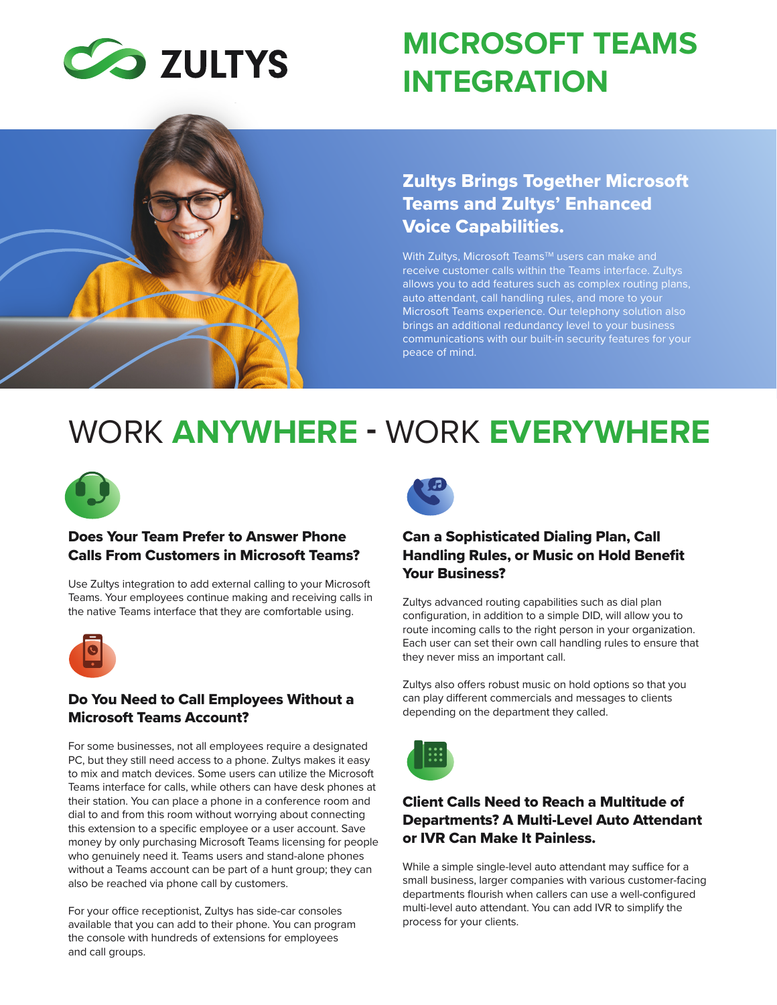

# **MICROSOFT TEAMS INTEGRATION**



# Zultys Brings Together Microsoft Teams and Zultys' Enhanced Voice Capabilities.

With Zultys, Microsoft Teams™ users can make and receive customer calls within the Teams interface. Zultys allows you to add features such as complex routing plans, auto attendant, call handling rules, and more to your Microsoft Teams experience. Our telephony solution also brings an additional redundancy level to your business communications with our built-in security features for your peace of mind.

# WORK **ANYWHERE -** WORK **EVERYWHERE**



#### Does Your Team Prefer to Answer Phone Calls From Customers in Microsoft Teams?

Use Zultys integration to add external calling to your Microsoft Teams. Your employees continue making and receiving calls in the native Teams interface that they are comfortable using.



#### Do You Need to Call Employees Without a Microsoft Teams Account?

For some businesses, not all employees require a designated PC, but they still need access to a phone. Zultys makes it easy to mix and match devices. Some users can utilize the Microsoft Teams interface for calls, while others can have desk phones at their station. You can place a phone in a conference room and dial to and from this room without worrying about connecting this extension to a specific employee or a user account. Save money by only purchasing Microsoft Teams licensing for people who genuinely need it. Teams users and stand-alone phones without a Teams account can be part of a hunt group; they can also be reached via phone call by customers.

For your office receptionist, Zultys has side-car consoles available that you can add to their phone. You can program the console with hundreds of extensions for employees and call groups.



# Can a Sophisticated Dialing Plan, Call Handling Rules, or Music on Hold Benefit Your Business?

Zultys advanced routing capabilities such as dial plan configuration, in addition to a simple DID, will allow you to route incoming calls to the right person in your organization. Each user can set their own call handling rules to ensure that they never miss an important call.

Zultys also offers robust music on hold options so that you can play different commercials and messages to clients depending on the department they called.



# Client Calls Need to Reach a Multitude of Departments? A Multi-Level Auto Attendant or IVR Can Make It Painless.

While a simple single-level auto attendant may suffice for a small business, larger companies with various customer-facing departments flourish when callers can use a well-configured multi-level auto attendant. You can add IVR to simplify the process for your clients.